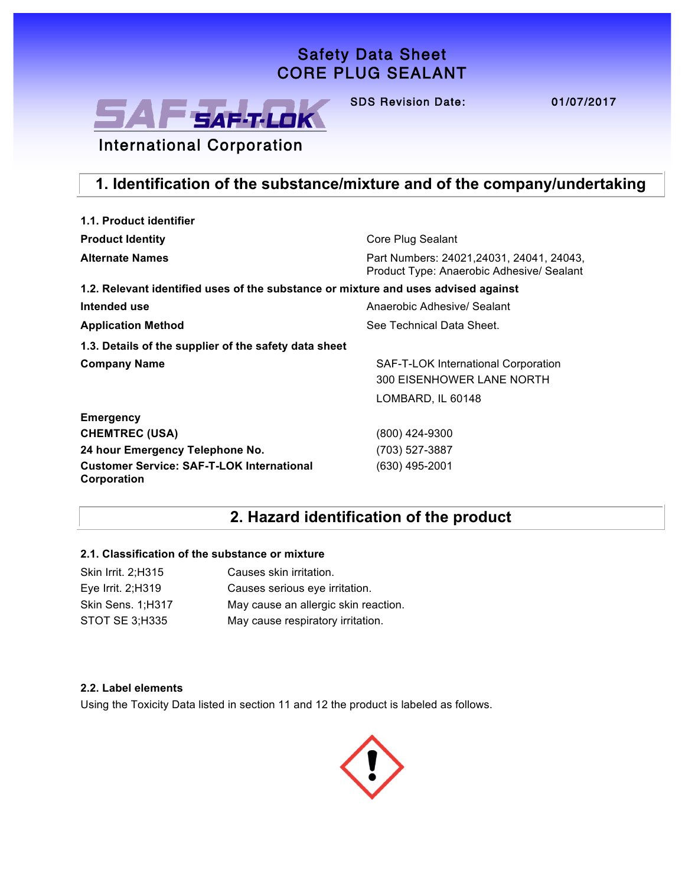# **Safety Data Sheet**  Safety Data Sheet **Core Plug Sealant**  CORE PLUG SEALANT



**SDS Revision Date: 01/07/2017** SDS Revision Date: 01/07/2017

# International Corporation

# **1. Identification of the substance/mixture and of the company/undertaking**

| 1.1. Product identifier                                                            |                                                                                        |  |  |
|------------------------------------------------------------------------------------|----------------------------------------------------------------------------------------|--|--|
| <b>Product Identity</b>                                                            | Core Plug Sealant                                                                      |  |  |
| <b>Alternate Names</b>                                                             | Part Numbers: 24021, 24031, 24041, 24043,<br>Product Type: Anaerobic Adhesive/ Sealant |  |  |
| 1.2. Relevant identified uses of the substance or mixture and uses advised against |                                                                                        |  |  |
| Intended use                                                                       | Anaerobic Adhesive/ Sealant                                                            |  |  |
| <b>Application Method</b>                                                          | See Technical Data Sheet.                                                              |  |  |
| 1.3. Details of the supplier of the safety data sheet                              |                                                                                        |  |  |
| <b>Company Name</b>                                                                | SAF-T-LOK International Corporation                                                    |  |  |
|                                                                                    | 300 EISENHOWER LANE NORTH                                                              |  |  |
|                                                                                    | LOMBARD, IL 60148                                                                      |  |  |
| <b>Emergency</b>                                                                   |                                                                                        |  |  |
| <b>CHEMTREC (USA)</b>                                                              | (800) 424-9300                                                                         |  |  |
| 24 hour Emergency Telephone No.                                                    | (703) 527-3887                                                                         |  |  |
| <b>Customer Service: SAF-T-LOK International</b><br>Corporation                    | (630) 495-2001                                                                         |  |  |

### **2. Hazard identification of the product**

#### **2.1. Classification of the substance or mixture**

| Causes skin irritation.              |
|--------------------------------------|
| Causes serious eye irritation.       |
| May cause an allergic skin reaction. |
| May cause respiratory irritation.    |
|                                      |

#### **2.2. Label elements**

Using the Toxicity Data listed in section 11 and 12 the product is labeled as follows.

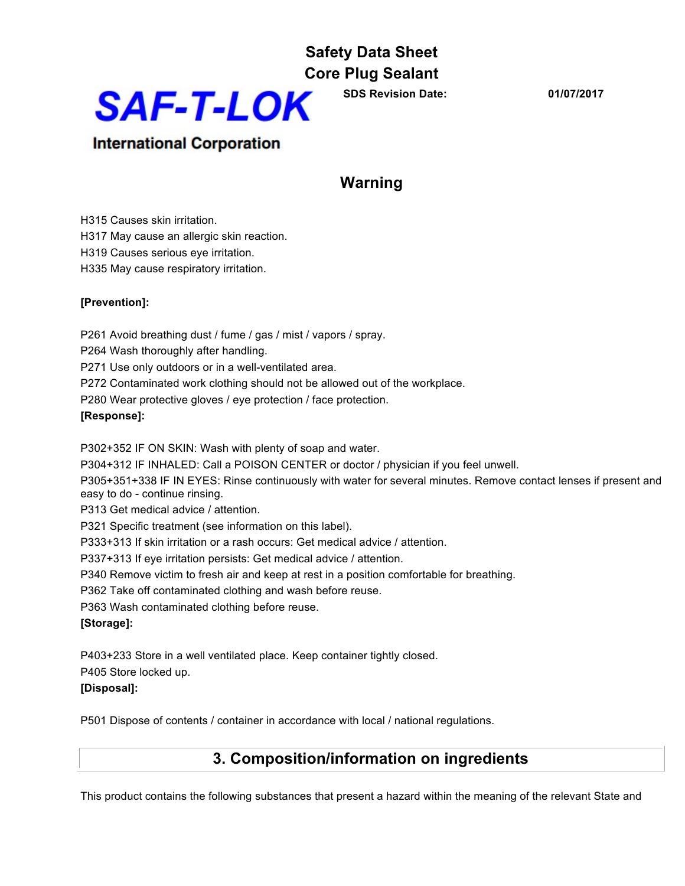

**SDS Revision Date: 01/07/2017**

### **International Corporation**

# **Warning**

H315 Causes skin irritation. H317 May cause an allergic skin reaction. H319 Causes serious eye irritation.

H335 May cause respiratory irritation.

#### **[Prevention]:**

P261 Avoid breathing dust / fume / gas / mist / vapors / spray.

P264 Wash thoroughly after handling.

P271 Use only outdoors or in a well-ventilated area.

P272 Contaminated work clothing should not be allowed out of the workplace.

P280 Wear protective gloves / eye protection / face protection.

#### **[Response]:**

P302+352 IF ON SKIN: Wash with plenty of soap and water.

P304+312 IF INHALED: Call a POISON CENTER or doctor / physician if you feel unwell.

P305+351+338 IF IN EYES: Rinse continuously with water for several minutes. Remove contact lenses if present and easy to do - continue rinsing.

P313 Get medical advice / attention.

P321 Specific treatment (see information on this label).

P333+313 If skin irritation or a rash occurs: Get medical advice / attention.

P337+313 If eye irritation persists: Get medical advice / attention.

P340 Remove victim to fresh air and keep at rest in a position comfortable for breathing.

P362 Take off contaminated clothing and wash before reuse.

P363 Wash contaminated clothing before reuse.

#### **[Storage]:**

P403+233 Store in a well ventilated place. Keep container tightly closed.

P405 Store locked up.

#### **[Disposal]:**

P501 Dispose of contents / container in accordance with local / national regulations.

# **3. Composition/information on ingredients**

This product contains the following substances that present a hazard within the meaning of the relevant State and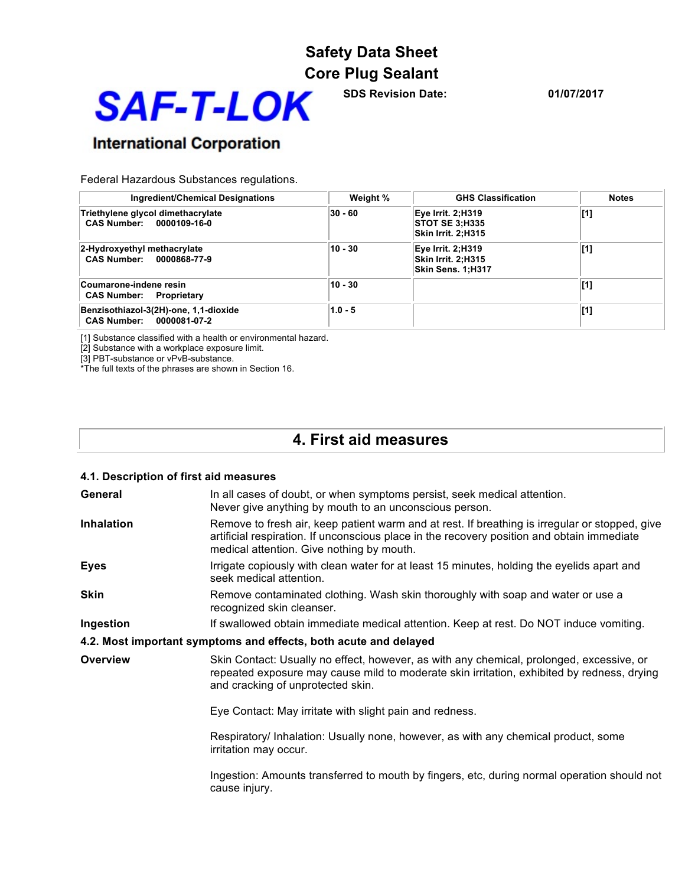

**SDS Revision Date: 01/07/2017**

# **International Corporation**

Federal Hazardous Substances regulations.

| Ingredient/Chemical Designations                                  | Weight %  | <b>GHS Classification</b>                                           | <b>Notes</b> |
|-------------------------------------------------------------------|-----------|---------------------------------------------------------------------|--------------|
| Triethylene glycol dimethacrylate<br>CAS Number: 0000109-16-0     | $30 - 60$ | Eye Irrit. 2;H319<br><b>STOT SE 3:H335</b><br>Skin Irrit. 2:H315    | [1]          |
| 2-Hydroxyethyl methacrylate<br>CAS Number: 0000868-77-9           | $10 - 30$ | <b>Eye Irrit. 2;H319</b><br>Skin Irrit. 2:H315<br>Skin Sens. 1;H317 | [1]          |
| Coumarone-indene resin<br><b>CAS Number: Proprietary</b>          | $10 - 30$ |                                                                     | [1]          |
| Benzisothiazol-3(2H)-one, 1,1-dioxide<br>CAS Number: 0000081-07-2 | $1.0 - 5$ |                                                                     | [1]          |

[1] Substance classified with a health or environmental hazard.

[2] Substance with a workplace exposure limit.

[3] PBT-substance or vPvB-substance.

\*The full texts of the phrases are shown in Section 16.

### **4. First aid measures**

| 4.1. Description of first aid measures |                                                                                                                                                                                                                                           |
|----------------------------------------|-------------------------------------------------------------------------------------------------------------------------------------------------------------------------------------------------------------------------------------------|
| General                                | In all cases of doubt, or when symptoms persist, seek medical attention.<br>Never give anything by mouth to an unconscious person.                                                                                                        |
| <b>Inhalation</b>                      | Remove to fresh air, keep patient warm and at rest. If breathing is irregular or stopped, give<br>artificial respiration. If unconscious place in the recovery position and obtain immediate<br>medical attention. Give nothing by mouth. |
| <b>Eyes</b>                            | Irrigate copiously with clean water for at least 15 minutes, holding the eyelids apart and<br>seek medical attention.                                                                                                                     |
| <b>Skin</b>                            | Remove contaminated clothing. Wash skin thoroughly with soap and water or use a<br>recognized skin cleanser.                                                                                                                              |
| Ingestion                              | If swallowed obtain immediate medical attention. Keep at rest. Do NOT induce vomiting.                                                                                                                                                    |
|                                        | 4.2. Most important symptoms and effects, both acute and delayed                                                                                                                                                                          |
| <b>Overview</b>                        | Skin Contact: Usually no effect, however, as with any chemical, prolonged, excessive, or<br>repeated exposure may cause mild to moderate skin irritation, exhibited by redness, drying<br>and cracking of unprotected skin.               |
|                                        | Eye Contact: May irritate with slight pain and redness.                                                                                                                                                                                   |
|                                        | Respiratory/ Inhalation: Usually none, however, as with any chemical product, some<br>irritation may occur.                                                                                                                               |
|                                        | Ingestion: Amounts transferred to mouth by fingers, etc, during normal operation should not<br>cause injury.                                                                                                                              |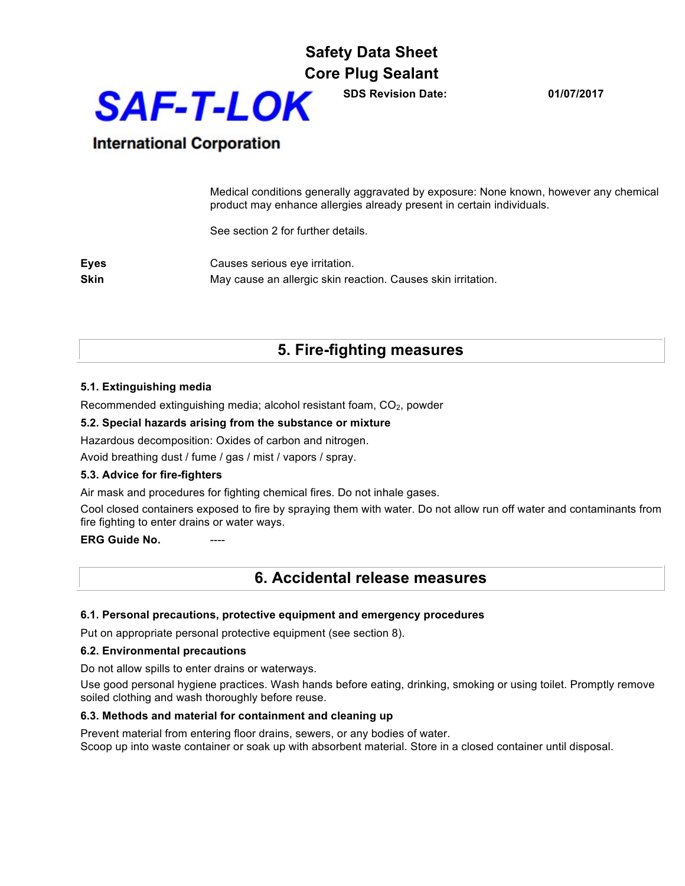

**SDS Revision Date: 01/07/2017**

### **International Corporation**

Medical conditions generally aggravated by exposure: None known, however any chemical product may enhance allergies already present in certain individuals.

See section 2 for further details.

**Eyes** Causes serious eye irritation. **Skin** May cause an allergic skin reaction. Causes skin irritation.

### **5. Fire-fighting measures**

#### **5.1. Extinguishing media**

Recommended extinguishing media; alcohol resistant foam,  $CO<sub>2</sub>$ , powder

#### **5.2. Special hazards arising from the substance or mixture**

Hazardous decomposition: Oxides of carbon and nitrogen.

Avoid breathing dust / fume / gas / mist / vapors / spray.

#### **5.3. Advice for fire-fighters**

Air mask and procedures for fighting chemical fires. Do not inhale gases.

Cool closed containers exposed to fire by spraying them with water. Do not allow run off water and contaminants from fire fighting to enter drains or water ways.

**ERG Guide No.** 

### **6. Accidental release measures**

#### **6.1. Personal precautions, protective equipment and emergency procedures**

Put on appropriate personal protective equipment (see section 8).

#### **6.2. Environmental precautions**

Do not allow spills to enter drains or waterways.

Use good personal hygiene practices. Wash hands before eating, drinking, smoking or using toilet. Promptly remove soiled clothing and wash thoroughly before reuse.

#### **6.3. Methods and material for containment and cleaning up**

Prevent material from entering floor drains, sewers, or any bodies of water. Scoop up into waste container or soak up with absorbent material. Store in a closed container until disposal.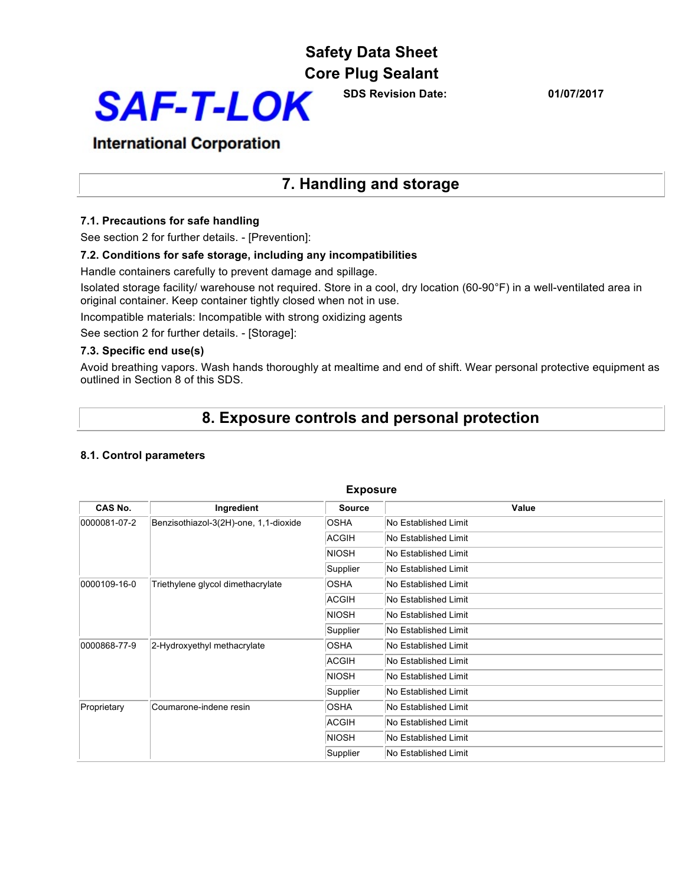# **Safety Data Sheet**

**Core Plug Sealant** 



**SDS Revision Date: 01/07/2017**

### **International Corporation**

### **7. Handling and storage**

#### **7.1. Precautions for safe handling**

See section 2 for further details. - [Prevention]:

#### **7.2. Conditions for safe storage, including any incompatibilities**

Handle containers carefully to prevent damage and spillage.

Isolated storage facility/ warehouse not required. Store in a cool, dry location (60-90°F) in a well-ventilated area in original container. Keep container tightly closed when not in use.

Incompatible materials: Incompatible with strong oxidizing agents

See section 2 for further details. - [Storage]:

#### **7.3. Specific end use(s)**

Avoid breathing vapors. Wash hands thoroughly at mealtime and end of shift. Wear personal protective equipment as outlined in Section 8 of this SDS.

### **8. Exposure controls and personal protection**

#### **8.1. Control parameters**

| <b>Exposure</b> |                                       |                      |                      |  |
|-----------------|---------------------------------------|----------------------|----------------------|--|
| CAS No.         | Ingredient                            | <b>Source</b>        | Value                |  |
| 0000081-07-2    | Benzisothiazol-3(2H)-one, 1,1-dioxide | <b>OSHA</b>          | No Established Limit |  |
|                 |                                       | <b>ACGIH</b>         | No Established Limit |  |
|                 |                                       | <b>NIOSH</b>         | No Established Limit |  |
|                 |                                       | Supplier             | No Established Limit |  |
| 0000109-16-0    | Triethylene glycol dimethacrylate     | <b>OSHA</b>          | No Established Limit |  |
|                 |                                       | ACGIH                | No Established Limit |  |
|                 | <b>NIOSH</b>                          | No Established Limit |                      |  |
|                 | Supplier                              | No Established Limit |                      |  |
| 0000868-77-9    | 2-Hydroxyethyl methacrylate           | <b>OSHA</b>          | No Established Limit |  |
|                 | <b>ACGIH</b>                          | No Established Limit |                      |  |
|                 |                                       | NIOSH                | No Established Limit |  |
|                 | Supplier                              | No Established Limit |                      |  |
| Proprietary     | Coumarone-indene resin                | <b>OSHA</b>          | No Established Limit |  |
|                 |                                       | ACGIH                | No Established Limit |  |
|                 |                                       | <b>NIOSH</b>         | No Established Limit |  |
|                 |                                       | Supplier             | No Established Limit |  |

#### **Exposure**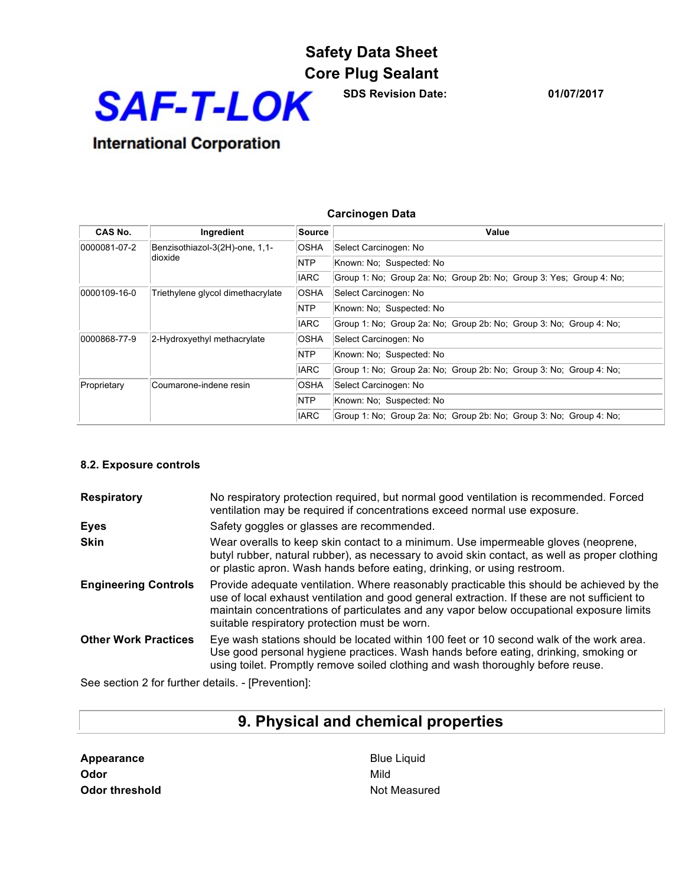

**SDS Revision Date: 01/07/2017**

# **International Corporation**

| CAS No.                                                   | Ingredient                        | ∣Source     | Value                                                               |
|-----------------------------------------------------------|-----------------------------------|-------------|---------------------------------------------------------------------|
| 0000081-07-2<br>Benzisothiazol-3(2H)-one, 1,1-<br>dioxide |                                   | <b>OSHA</b> | Select Carcinogen: No                                               |
|                                                           |                                   | NTP         | Known: No: Suspected: No                                            |
|                                                           |                                   | <b>IARC</b> | Group 1: No; Group 2a: No; Group 2b: No; Group 3: Yes; Group 4: No; |
| 0000109-16-0                                              | Triethylene glycol dimethacrylate | <b>OSHA</b> | Select Carcinogen: No                                               |
|                                                           |                                   | NTP         | Known: No; Suspected: No                                            |
|                                                           |                                   | <b>IARC</b> | Group 1: No; Group 2a: No; Group 2b: No; Group 3: No; Group 4: No;  |
| 0000868-77-9                                              | 2-Hydroxyethyl methacrylate       | <b>OSHA</b> | Select Carcinogen: No                                               |
|                                                           |                                   | NTP         | Known: No: Suspected: No                                            |
|                                                           |                                   | <b>IARC</b> | Group 1: No; Group 2a: No; Group 2b: No; Group 3: No; Group 4: No;  |
| Proprietary                                               | Coumarone-indene resin            | <b>OSHA</b> | Select Carcinogen: No                                               |
|                                                           |                                   | <b>NTP</b>  | Known: No: Suspected: No                                            |
|                                                           |                                   | <b>IARC</b> | Group 1: No; Group 2a: No; Group 2b: No; Group 3: No; Group 4: No;  |

**Carcinogen Data**

# **8.2. Exposure controls**

| No respiratory protection required, but normal good ventilation is recommended. Forced<br>ventilation may be required if concentrations exceed normal use exposure.                                                                                                                                                                    |
|----------------------------------------------------------------------------------------------------------------------------------------------------------------------------------------------------------------------------------------------------------------------------------------------------------------------------------------|
| Safety goggles or glasses are recommended.                                                                                                                                                                                                                                                                                             |
| Wear overalls to keep skin contact to a minimum. Use impermeable gloves (neoprene,<br>butyl rubber, natural rubber), as necessary to avoid skin contact, as well as proper clothing<br>or plastic apron. Wash hands before eating, drinking, or using restroom.                                                                        |
| Provide adequate ventilation. Where reasonably practicable this should be achieved by the<br>use of local exhaust ventilation and good general extraction. If these are not sufficient to<br>maintain concentrations of particulates and any vapor below occupational exposure limits<br>suitable respiratory protection must be worn. |
| Eye wash stations should be located within 100 feet or 10 second walk of the work area.<br>Use good personal hygiene practices. Wash hands before eating, drinking, smoking or<br>using toilet. Promptly remove soiled clothing and wash thoroughly before reuse.                                                                      |
|                                                                                                                                                                                                                                                                                                                                        |

See section 2 for further details. - [Prevention]:

# **9. Physical and chemical properties**

| Appearance            | Blue |
|-----------------------|------|
| Odor                  | Mild |
| <b>Odor threshold</b> | Not. |

**Blue Liquid Not Measured**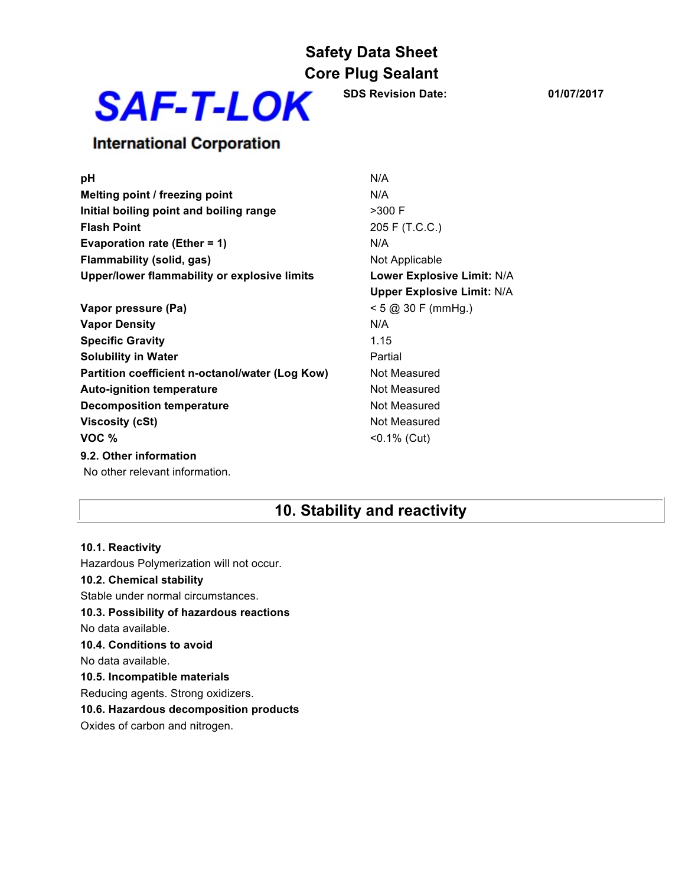

**SDS Revision Date: 01/07/2017**

### **International Corporation**

| pH                                              | N/A                               |
|-------------------------------------------------|-----------------------------------|
| Melting point / freezing point                  | N/A                               |
| Initial boiling point and boiling range         | $>300$ F                          |
| <b>Flash Point</b>                              | 205 F (T.C.C.)                    |
| <b>Evaporation rate (Ether = 1)</b>             | N/A                               |
| Flammability (solid, gas)                       | Not Applicable                    |
| Upper/lower flammability or explosive limits    | Lower Explosive Limit: N/A        |
|                                                 | <b>Upper Explosive Limit: N/A</b> |
| Vapor pressure (Pa)                             | $< 5$ @ 30 F (mmHg.)              |
| <b>Vapor Density</b>                            | N/A                               |
| <b>Specific Gravity</b>                         | 1.15                              |
| <b>Solubility in Water</b>                      | Partial                           |
| Partition coefficient n-octanol/water (Log Kow) | Not Measured                      |
| <b>Auto-ignition temperature</b>                | Not Measured                      |
| <b>Decomposition temperature</b>                | Not Measured                      |
| <b>Viscosity (cSt)</b>                          | Not Measured                      |
| VOC %                                           | $< 0.1\%$ (Cut)                   |
| 9.2. Other information                          |                                   |
| No other relevant information.                  |                                   |

### **10. Stability and reactivity**

### **10.1. Reactivity** Hazardous Polymerization will not occur. **10.2. Chemical stability** Stable under normal circumstances. **10.3. Possibility of hazardous reactions** No data available. **10.4. Conditions to avoid** No data available. **10.5. Incompatible materials** Reducing agents. Strong oxidizers. **10.6. Hazardous decomposition products** Oxides of carbon and nitrogen.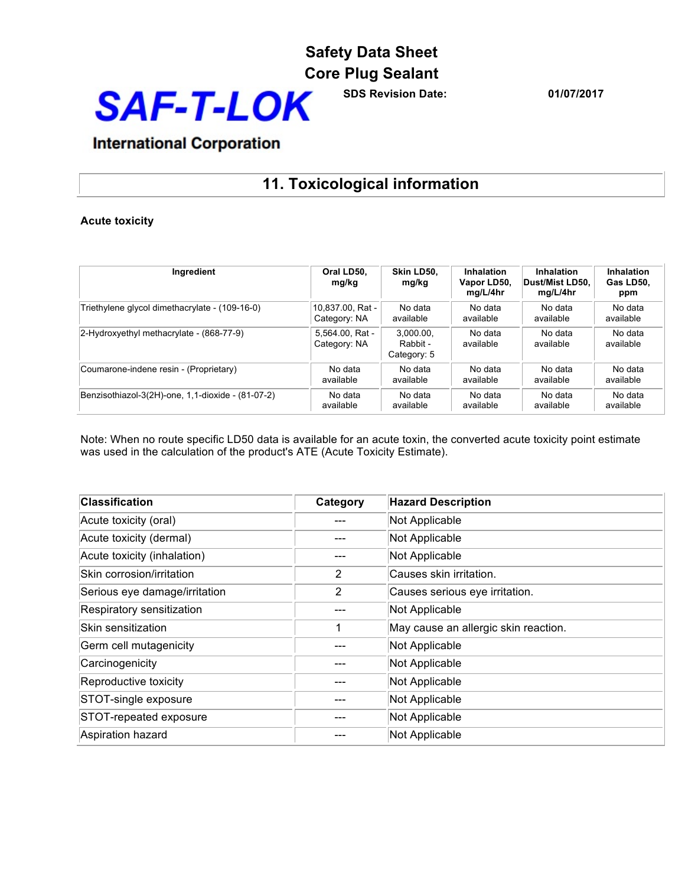

**SDS Revision Date: 01/07/2017**

# **International Corporation**

# **11. Toxicological information**

#### **Acute toxicity**

| Ingredient                                        | Oral LD50,<br>mg/kg             | Skin LD50.<br>mg/kg                  | Inhalation<br>Vapor LD50,<br>mg/L/4hr | Inhalation<br> Dust/Mist LD50.<br>mg/L/4hr | Inhalation<br>Gas LD50.<br>ppm |
|---------------------------------------------------|---------------------------------|--------------------------------------|---------------------------------------|--------------------------------------------|--------------------------------|
| Triethylene glycol dimethacrylate - (109-16-0)    | 10.837.00. Rat -                | No data                              | No data                               | No data                                    | No data                        |
|                                                   | Category: NA                    | available                            | available                             | available                                  | available                      |
| $ 2-Hydroxyethyl$ methacrylate - $(868-77-9)$     | 5,564.00, Rat -<br>Category: NA | 3.000.00.<br>Rabbit -<br>Category: 5 | No data<br>available                  | No data<br>available                       | No data<br>available           |
| Coumarone-indene resin - (Proprietary)            | No data                         | No data                              | No data                               | No data                                    | No data                        |
|                                                   | available                       | available                            | available                             | available                                  | available                      |
| Benzisothiazol-3(2H)-one, 1,1-dioxide - (81-07-2) | No data                         | No data                              | No data                               | No data                                    | No data                        |
|                                                   | available                       | available                            | available                             | available                                  | available                      |

Note: When no route specific LD50 data is available for an acute toxin, the converted acute toxicity point estimate was used in the calculation of the product's ATE (Acute Toxicity Estimate).

| <b>Classification</b>         | Category | <b>Hazard Description</b>            |
|-------------------------------|----------|--------------------------------------|
| Acute toxicity (oral)         |          | Not Applicable                       |
| Acute toxicity (dermal)       |          | Not Applicable                       |
| Acute toxicity (inhalation)   |          | Not Applicable                       |
| Skin corrosion/irritation     | 2        | Causes skin irritation.              |
| Serious eye damage/irritation | 2        | Causes serious eye irritation.       |
| Respiratory sensitization     |          | Not Applicable                       |
| Skin sensitization            |          | May cause an allergic skin reaction. |
| Germ cell mutagenicity        |          | Not Applicable                       |
| Carcinogenicity               |          | Not Applicable                       |
| Reproductive toxicity         |          | Not Applicable                       |
| STOT-single exposure          |          | Not Applicable                       |
| STOT-repeated exposure        |          | Not Applicable                       |
| Aspiration hazard             |          | Not Applicable                       |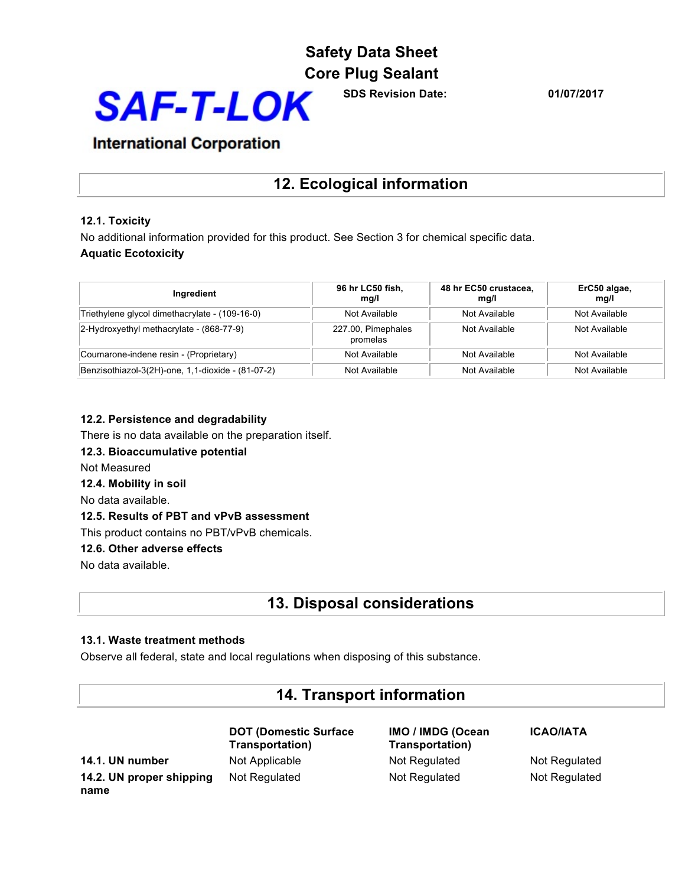

**SDS Revision Date: 01/07/2017**

### **International Corporation**

# **12. Ecological information**

#### **12.1. Toxicity**

No additional information provided for this product. See Section 3 for chemical specific data. **Aquatic Ecotoxicity**

| Ingredient                                        | 96 hr LC50 fish,<br>mg/l       | 48 hr EC50 crustacea,<br>mg/l | ErC50 algae,<br>mq/l |
|---------------------------------------------------|--------------------------------|-------------------------------|----------------------|
| Triethylene glycol dimethacrylate - (109-16-0)    | Not Available                  | Not Available                 | Not Available        |
| 2-Hydroxyethyl methacrylate - (868-77-9)          | 227.00, Pimephales<br>promelas | Not Available                 | Not Available        |
| Coumarone-indene resin - (Proprietary)            | Not Available                  | Not Available                 | Not Available        |
| Benzisothiazol-3(2H)-one, 1,1-dioxide - (81-07-2) | Not Available                  | Not Available                 | Not Available        |

#### **12.2. Persistence and degradability**

There is no data available on the preparation itself.

#### **12.3. Bioaccumulative potential**

Not Measured

**12.4. Mobility in soil**

No data available.

#### **12.5. Results of PBT and vPvB assessment**

This product contains no PBT/vPvB chemicals.

#### **12.6. Other adverse effects**

No data available.

### **13. Disposal considerations**

#### **13.1. Waste treatment methods**

Observe all federal, state and local regulations when disposing of this substance.

### **14. Transport information**

**14.1. UN number** Not Applicable Not Regulated Not Regulated Not Regulated **14.2. UN proper shipping name**

**DOT (Domestic Surface Transportation)** Not Regulated Not Regulated Not Regulated

**IMO / IMDG (Ocean Transportation)**

**ICAO/IATA**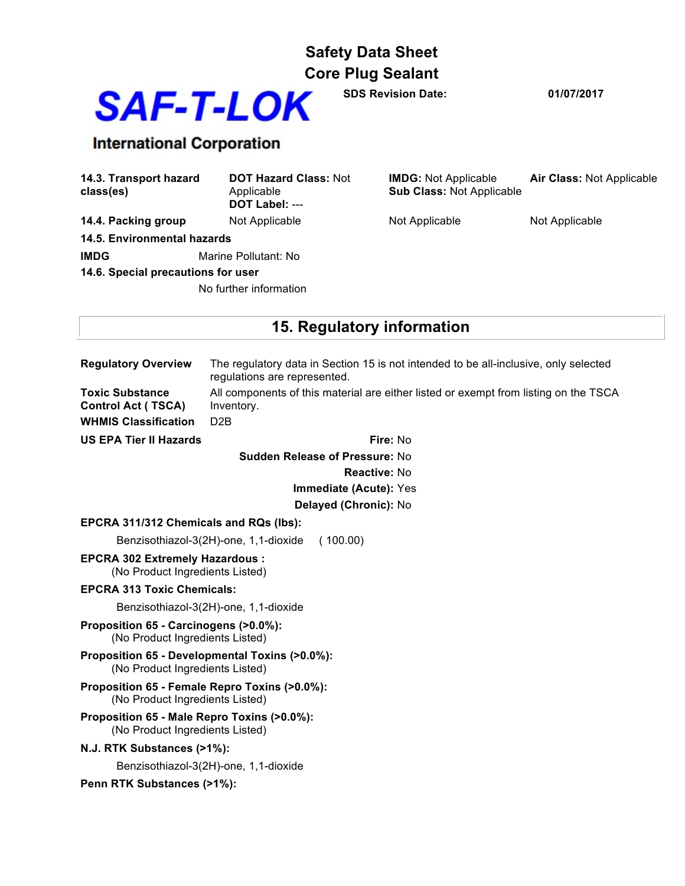

**SDS Revision Date: 01/07/2017**

# **International Corporation**

| 14.3. Transport hazard<br>class(es) | <b>DOT Hazard Class: Not</b><br>Applicable<br>DOT Label: --- | <b>IMDG:</b> Not Applicable<br><b>Sub Class: Not Applicable</b> | <b>Air Class: Not Applicable</b> |
|-------------------------------------|--------------------------------------------------------------|-----------------------------------------------------------------|----------------------------------|
| 14.4. Packing group                 | Not Applicable                                               | Not Applicable                                                  | Not Applicable                   |
| 14.5. Environmental hazards         |                                                              |                                                                 |                                  |
| <b>IMDG</b>                         | Marine Pollutant: No                                         |                                                                 |                                  |
| 14.6. Special precautions for user  |                                                              |                                                                 |                                  |
| No further information              |                                                              |                                                                 |                                  |

# **15. Regulatory information**

| <b>Regulatory Overview</b>                                                         | The regulatory data in Section 15 is not intended to be all-inclusive, only selected<br>regulations are represented.   |  |  |
|------------------------------------------------------------------------------------|------------------------------------------------------------------------------------------------------------------------|--|--|
| <b>Toxic Substance</b><br><b>Control Act (TSCA)</b><br><b>WHMIS Classification</b> | All components of this material are either listed or exempt from listing on the TSCA<br>Inventory.<br>D <sub>2</sub> B |  |  |
| <b>US EPA Tier II Hazards</b>                                                      | Fire: No                                                                                                               |  |  |
| <b>Sudden Release of Pressure: No</b>                                              |                                                                                                                        |  |  |
| <b>Reactive: No</b>                                                                |                                                                                                                        |  |  |
| Immediate (Acute): Yes                                                             |                                                                                                                        |  |  |
|                                                                                    | Delayed (Chronic): No                                                                                                  |  |  |
| EPCRA 311/312 Chemicals and RQs (lbs):                                             |                                                                                                                        |  |  |
|                                                                                    | Benzisothiazol-3(2H)-one, 1,1-dioxide<br>(100.00)                                                                      |  |  |
| <b>EPCRA 302 Extremely Hazardous:</b><br>(No Product Ingredients Listed)           |                                                                                                                        |  |  |
| <b>EPCRA 313 Toxic Chemicals:</b>                                                  |                                                                                                                        |  |  |
| Benzisothiazol-3(2H)-one, 1,1-dioxide                                              |                                                                                                                        |  |  |
| Proposition 65 - Carcinogens (>0.0%):<br>(No Product Ingredients Listed)           |                                                                                                                        |  |  |
| (No Product Ingredients Listed)                                                    | Proposition 65 - Developmental Toxins (>0.0%):                                                                         |  |  |
| Proposition 65 - Female Repro Toxins (>0.0%):<br>(No Product Ingredients Listed)   |                                                                                                                        |  |  |
| Proposition 65 - Male Repro Toxins (>0.0%):<br>(No Product Ingredients Listed)     |                                                                                                                        |  |  |
| N.J. RTK Substances (>1%):                                                         |                                                                                                                        |  |  |
| Benzisothiazol-3(2H)-one, 1,1-dioxide                                              |                                                                                                                        |  |  |
| Penn RTK Substances (>1%):                                                         |                                                                                                                        |  |  |
|                                                                                    |                                                                                                                        |  |  |